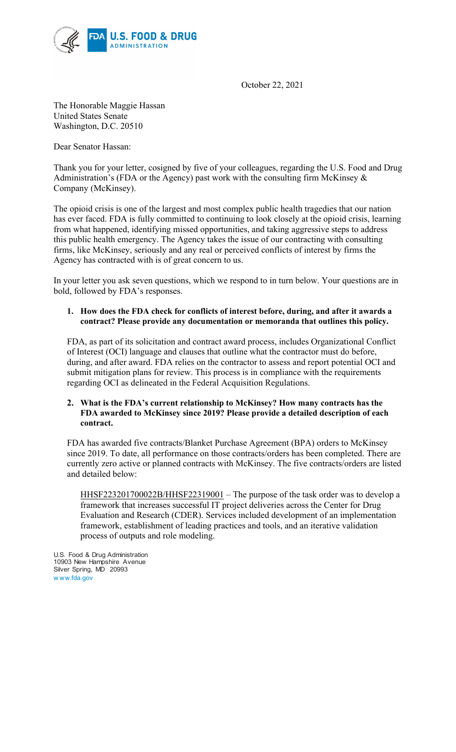

October 22, 2021

The Honorable Maggie Hassan United States Senate Washington, D.C. 20510

Dear Senator Hassan:

Thank you for your letter, cosigned by five of your colleagues, regarding the U.S. Food and Drug Administration's (FDA or the Agency) past work with the consulting firm McKinsey & Company (McKinsey).

The opioid crisis is one of the largest and most complex public health tragedies that our nation has ever faced. FDA is fully committed to continuing to look closely at the opioid crisis, learning from what happened, identifying missed opportunities, and taking aggressive steps to address this public health emergency. The Agency takes the issue of our contracting with consulting firms, like McKinsey, seriously and any real or perceived conflicts of interest by firms the Agency has contracted with is of great concern to us.

In your letter you ask seven questions, which we respond to in turn below. Your questions are in bold, followed by FDA's responses.

## **1. How does the FDA check for conflicts of interest before, during, and after it awards a contract? Please provide any documentation or memoranda that outlines this policy.**

FDA, as part of its solicitation and contract award process, includes Organizational Conflict of Interest (OCI) language and clauses that outline what the contractor must do before, during, and after award. FDA relies on the contractor to assess and report potential OCI and submit mitigation plans for review. This process is in compliance with the requirements regarding OCI as delineated in the Federal Acquisition Regulations.

## **2. What is the FDA's current relationship to McKinsey? How many contracts has the FDA awarded to McKinsey since 2019? Please provide a detailed description of each contract.**

FDA has awarded five contracts/Blanket Purchase Agreement (BPA) orders to McKinsey since 2019. To date, all performance on those contracts/orders has been completed. There are currently zero active or planned contracts with McKinsey. The five contracts/orders are listed and detailed below:

HHSF223201700022B/HHSF22319001 – The purpose of the task order was to develop a framework that increases successful IT project deliveries across the Center for Drug Evaluation and Research (CDER). Services included development of an implementation framework, establishment of leading practices and tools, and an iterative validation process of outputs and role modeling.

U.S. Food & Drug Administration 10903 New Hampshire Avenue Silver Spring, MD 20993 w ww.fda.gov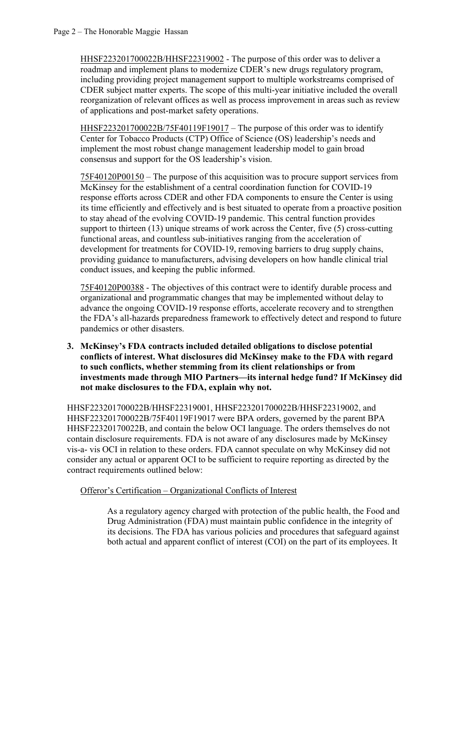HHSF223201700022B/HHSF22319002 - The purpose of this order was to deliver a roadmap and implement plans to modernize CDER's new drugs regulatory program, including providing project management support to multiple workstreams comprised of CDER subject matter experts. The scope of this multi-year initiative included the overall reorganization of relevant offices as well as process improvement in areas such as review of applications and post-market safety operations.

HHSF223201700022B/75F40119F19017 - The purpose of this order was to identify Center for Tobacco Products (CTP) Office of Science (OS) leadership's needs and implement the most robust change management leadership model to gain broad consensus and support for the OS leadership's vision.

75F40120P00150 – The purpose of this acquisition was to procure support services from McKinsey for the establishment of a central coordination function for COVID-19 response efforts across CDER and other FDA components to ensure the Center is using its time efficiently and effectively and is best situated to operate from a proactive position to stay ahead of the evolving COVID-19 pandemic. This central function provides support to thirteen (13) unique streams of work across the Center, five (5) cross-cutting functional areas, and countless sub-initiatives ranging from the acceleration of development for treatments for COVID-19, removing barriers to drug supply chains, providing guidance to manufacturers, advising developers on how handle clinical trial conduct issues, and keeping the public informed.

75F40120P00388 - The objectives of this contract were to identify durable process and organizational and programmatic changes that may be implemented without delay to advance the ongoing COVID-19 response efforts, accelerate recovery and to strengthen the FDA's all-hazards preparedness framework to effectively detect and respond to future pandemics or other disasters.

**3. McKinsey's FDA contracts included detailed obligations to disclose potential conflicts of interest. What disclosures did McKinsey make to the FDA with regard to such conflicts, whether stemming from its client relationships or from investments made through MIO Partners—its internal hedge fund? If McKinsey did not make disclosures to the FDA, explain why not.** 

HHSF223201700022B/HHSF22319001, HHSF223201700022B/HHSF22319002, and HHSF223201700022B/75F40119F19017 were BPA orders, governed by the parent BPA HHSF22320170022B, and contain the below OCI language. The orders themselves do not contain disclosure requirements. FDA is not aware of any disclosures made by McKinsey vis-a- vis OCI in relation to these orders. FDA cannot speculate on why McKinsey did not consider any actual or apparent OCI to be sufficient to require reporting as directed by the contract requirements outlined below:

Offeror's Certification – Organizational Conflicts of Interest

As a regulatory agency charged with protection of the public health, the Food and Drug Administration (FDA) must maintain public confidence in the integrity of its decisions. The FDA has various policies and procedures that safeguard against both actual and apparent conflict of interest (COI) on the part of its employees. It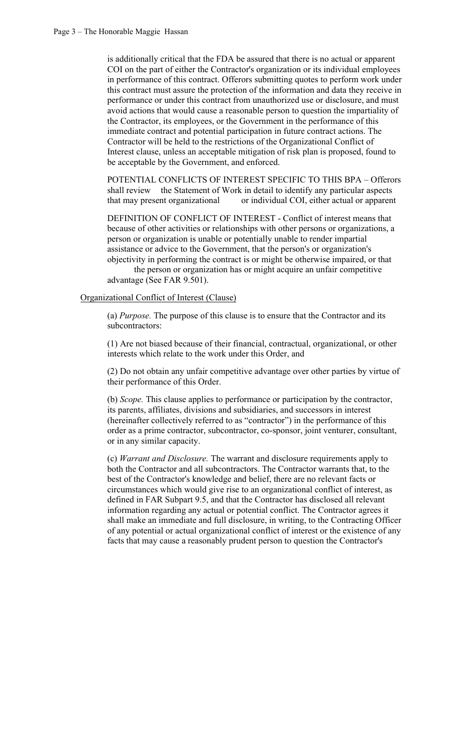is additionally critical that the FDA be assured that there is no actual or apparent COI on the part of either the Contractor's organization or its individual employees in performance of this contract. Offerors submitting quotes to perform work under this contract must assure the protection of the information and data they receive in performance or under this contract from unauthorized use or disclosure, and must avoid actions that would cause a reasonable person to question the impartiality of the Contractor, its employees, or the Government in the performance of this immediate contract and potential participation in future contract actions. The Contractor will be held to the restrictions of the Organizational Conflict of Interest clause, unless an acceptable mitigation of risk plan is proposed, found to be acceptable by the Government, and enforced.

POTENTIAL CONFLICTS OF INTEREST SPECIFIC TO THIS BPA – Offerors shall review the Statement of Work in detail to identify any particular aspects that may present organizational or individual COI, either actual or apparent

DEFINITION OF CONFLICT OF INTEREST - Conflict of interest means that because of other activities or relationships with other persons or organizations, a person or organization is unable or potentially unable to render impartial assistance or advice to the Government, that the person's or organization's objectivity in performing the contract is or might be otherwise impaired, or that

the person or organization has or might acquire an unfair competitive advantage (See FAR 9.501).

## Organizational Conflict of Interest (Clause)

(a) *Purpose.* The purpose of this clause is to ensure that the Contractor and its subcontractors:

(1) Are not biased because of their financial, contractual, organizational, or other interests which relate to the work under this Order, and

(2) Do not obtain any unfair competitive advantage over other parties by virtue of their performance of this Order.

(b) *Scope.* This clause applies to performance or participation by the contractor, its parents, affiliates, divisions and subsidiaries, and successors in interest (hereinafter collectively referred to as "contractor") in the performance of this order as a prime contractor, subcontractor, co-sponsor, joint venturer, consultant, or in any similar capacity.

(c) *Warrant and Disclosure.* The warrant and disclosure requirements apply to both the Contractor and all subcontractors. The Contractor warrants that, to the best of the Contractor's knowledge and belief, there are no relevant facts or circumstances which would give rise to an organizational conflict of interest, as defined in FAR Subpart 9.5, and that the Contractor has disclosed all relevant information regarding any actual or potential conflict. The Contractor agrees it shall make an immediate and full disclosure, in writing, to the Contracting Officer of any potential or actual organizational conflict of interest or the existence of any facts that may cause a reasonably prudent person to question the Contractor's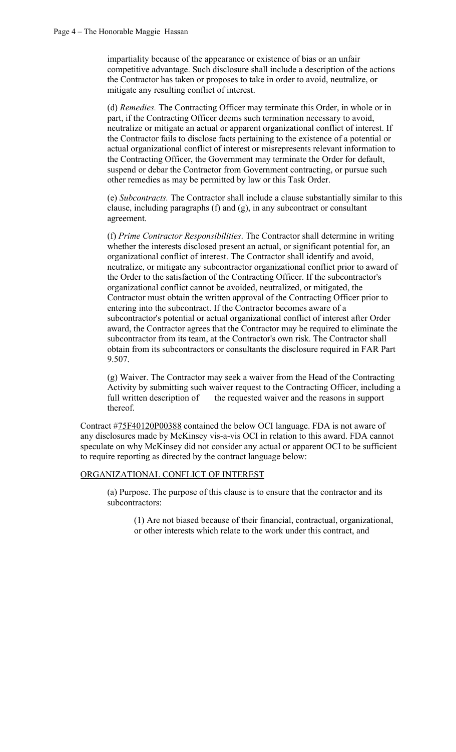impartiality because of the appearance or existence of bias or an unfair competitive advantage. Such disclosure shall include a description of the actions the Contractor has taken or proposes to take in order to avoid, neutralize, or mitigate any resulting conflict of interest.

(d) *Remedies.* The Contracting Officer may terminate this Order, in whole or in part, if the Contracting Officer deems such termination necessary to avoid, neutralize or mitigate an actual or apparent organizational conflict of interest. If the Contractor fails to disclose facts pertaining to the existence of a potential or actual organizational conflict of interest or misrepresents relevant information to the Contracting Officer, the Government may terminate the Order for default, suspend or debar the Contractor from Government contracting, or pursue such other remedies as may be permitted by law or this Task Order.

(e) *Subcontracts.* The Contractor shall include a clause substantially similar to this clause, including paragraphs (f) and (g), in any subcontract or consultant agreement.

(f) *Prime Contractor Responsibilities*. The Contractor shall determine in writing whether the interests disclosed present an actual, or significant potential for, an organizational conflict of interest. The Contractor shall identify and avoid, neutralize, or mitigate any subcontractor organizational conflict prior to award of the Order to the satisfaction of the Contracting Officer. If the subcontractor's organizational conflict cannot be avoided, neutralized, or mitigated, the Contractor must obtain the written approval of the Contracting Officer prior to entering into the subcontract. If the Contractor becomes aware of a subcontractor's potential or actual organizational conflict of interest after Order award, the Contractor agrees that the Contractor may be required to eliminate the subcontractor from its team, at the Contractor's own risk. The Contractor shall obtain from its subcontractors or consultants the disclosure required in FAR Part 9.507.

(g) Waiver. The Contractor may seek a waiver from the Head of the Contracting Activity by submitting such waiver request to the Contracting Officer, including a full written description of the requested waiver and the reasons in support thereof.

Contract #75F40120P00388 contained the below OCI language. FDA is not aware of any disclosures made by McKinsey vis-a-vis OCI in relation to this award. FDA cannot speculate on why McKinsey did not consider any actual or apparent OCI to be sufficient to require reporting as directed by the contract language below:

## ORGANIZATIONAL CONFLICT OF INTEREST

(a) Purpose. The purpose of this clause is to ensure that the contractor and its subcontractors:

(1) Are not biased because of their financial, contractual, organizational, or other interests which relate to the work under this contract, and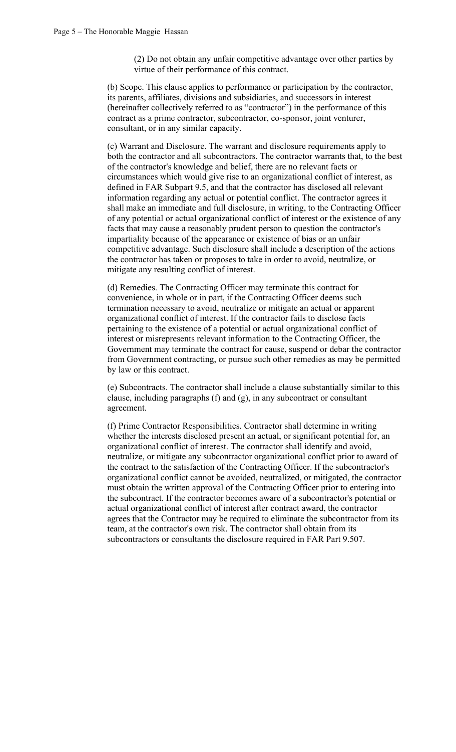(2) Do not obtain any unfair competitive advantage over other parties by virtue of their performance of this contract.

(b) Scope. This clause applies to performance or participation by the contractor, its parents, affiliates, divisions and subsidiaries, and successors in interest (hereinafter collectively referred to as "contractor") in the performance of this contract as a prime contractor, subcontractor, co-sponsor, joint venturer, consultant, or in any similar capacity.

(c) Warrant and Disclosure. The warrant and disclosure requirements apply to both the contractor and all subcontractors. The contractor warrants that, to the best of the contractor's knowledge and belief, there are no relevant facts or circumstances which would give rise to an organizational conflict of interest, as defined in FAR Subpart 9.5, and that the contractor has disclosed all relevant information regarding any actual or potential conflict. The contractor agrees it shall make an immediate and full disclosure, in writing, to the Contracting Officer of any potential or actual organizational conflict of interest or the existence of any facts that may cause a reasonably prudent person to question the contractor's impartiality because of the appearance or existence of bias or an unfair competitive advantage. Such disclosure shall include a description of the actions the contractor has taken or proposes to take in order to avoid, neutralize, or mitigate any resulting conflict of interest.

(d) Remedies. The Contracting Officer may terminate this contract for convenience, in whole or in part, if the Contracting Officer deems such termination necessary to avoid, neutralize or mitigate an actual or apparent organizational conflict of interest. If the contractor fails to disclose facts pertaining to the existence of a potential or actual organizational conflict of interest or misrepresents relevant information to the Contracting Officer, the Government may terminate the contract for cause, suspend or debar the contractor from Government contracting, or pursue such other remedies as may be permitted by law or this contract.

(e) Subcontracts. The contractor shall include a clause substantially similar to this clause, including paragraphs (f) and (g), in any subcontract or consultant agreement.

(f) Prime Contractor Responsibilities. Contractor shall determine in writing whether the interests disclosed present an actual, or significant potential for, an organizational conflict of interest. The contractor shall identify and avoid, neutralize, or mitigate any subcontractor organizational conflict prior to award of the contract to the satisfaction of the Contracting Officer. If the subcontractor's organizational conflict cannot be avoided, neutralized, or mitigated, the contractor must obtain the written approval of the Contracting Officer prior to entering into the subcontract. If the contractor becomes aware of a subcontractor's potential or actual organizational conflict of interest after contract award, the contractor agrees that the Contractor may be required to eliminate the subcontractor from its team, at the contractor's own risk. The contractor shall obtain from its subcontractors or consultants the disclosure required in FAR Part 9.507.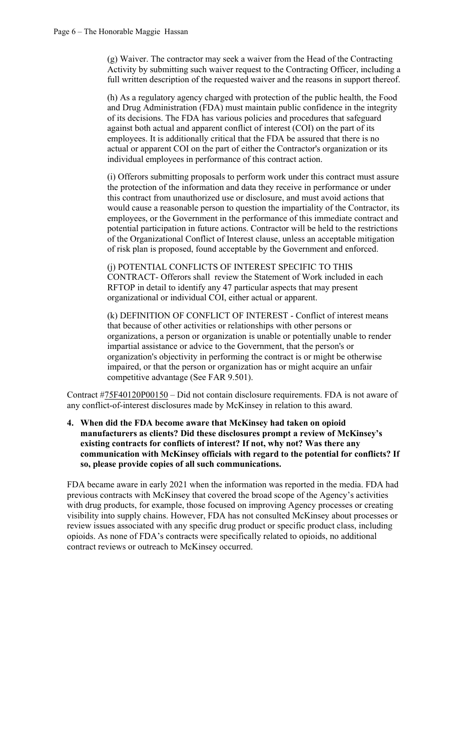(g) Waiver. The contractor may seek a waiver from the Head of the Contracting Activity by submitting such waiver request to the Contracting Officer, including a full written description of the requested waiver and the reasons in support thereof.

(h) As a regulatory agency charged with protection of the public health, the Food and Drug Administration (FDA) must maintain public confidence in the integrity of its decisions. The FDA has various policies and procedures that safeguard against both actual and apparent conflict of interest (COI) on the part of its employees. It is additionally critical that the FDA be assured that there is no actual or apparent COI on the part of either the Contractor's organization or its individual employees in performance of this contract action.

(i) Offerors submitting proposals to perform work under this contract must assure the protection of the information and data they receive in performance or under this contract from unauthorized use or disclosure, and must avoid actions that would cause a reasonable person to question the impartiality of the Contractor, its employees, or the Government in the performance of this immediate contract and potential participation in future actions. Contractor will be held to the restrictions of the Organizational Conflict of Interest clause, unless an acceptable mitigation of risk plan is proposed, found acceptable by the Government and enforced.

(j) POTENTIAL CONFLICTS OF INTEREST SPECIFIC TO THIS CONTRACT- Offerors shall review the Statement of Work included in each RFTOP in detail to identify any 47 particular aspects that may present organizational or individual COI, either actual or apparent.

(k) DEFINITION OF CONFLICT OF INTEREST - Conflict of interest means that because of other activities or relationships with other persons or organizations, a person or organization is unable or potentially unable to render impartial assistance or advice to the Government, that the person's or organization's objectivity in performing the contract is or might be otherwise impaired, or that the person or organization has or might acquire an unfair competitive advantage (See FAR 9.501).

Contract #75F40120P00150 – Did not contain disclosure requirements. FDA is not aware of any conflict-of-interest disclosures made by McKinsey in relation to this award.

**4. When did the FDA become aware that McKinsey had taken on opioid manufacturers as clients? Did these disclosures prompt a review of McKinsey's existing contracts for conflicts of interest? If not, why not? Was there any communication with McKinsey officials with regard to the potential for conflicts? If so, please provide copies of all such communications.** 

FDA became aware in early 2021 when the information was reported in the media. FDA had previous contracts with McKinsey that covered the broad scope of the Agency's activities with drug products, for example, those focused on improving Agency processes or creating visibility into supply chains. However, FDA has not consulted McKinsey about processes or review issues associated with any specific drug product or specific product class, including opioids. As none of FDA's contracts were specifically related to opioids, no additional contract reviews or outreach to McKinsey occurred.